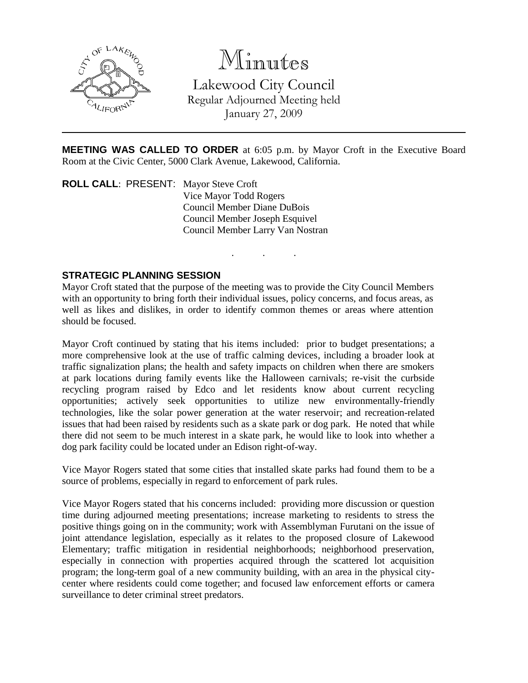

# Minutes

Lakewood City Council Regular Adjourned Meeting held January 27, 2009

**MEETING WAS CALLED TO ORDER** at 6:05 p.m. by Mayor Croft in the Executive Board Room at the Civic Center, 5000 Clark Avenue, Lakewood, California.

. . .

**ROLL CALL**: PRESENT: Mayor Steve Croft Vice Mayor Todd Rogers Council Member Diane DuBois Council Member Joseph Esquivel Council Member Larry Van Nostran

#### **STRATEGIC PLANNING SESSION**

Mayor Croft stated that the purpose of the meeting was to provide the City Council Members with an opportunity to bring forth their individual issues, policy concerns, and focus areas, as well as likes and dislikes, in order to identify common themes or areas where attention should be focused.

Mayor Croft continued by stating that his items included: prior to budget presentations; a more comprehensive look at the use of traffic calming devices, including a broader look at traffic signalization plans; the health and safety impacts on children when there are smokers at park locations during family events like the Halloween carnivals; re-visit the curbside recycling program raised by Edco and let residents know about current recycling opportunities; actively seek opportunities to utilize new environmentally-friendly technologies, like the solar power generation at the water reservoir; and recreation-related issues that had been raised by residents such as a skate park or dog park. He noted that while there did not seem to be much interest in a skate park, he would like to look into whether a dog park facility could be located under an Edison right-of-way.

Vice Mayor Rogers stated that some cities that installed skate parks had found them to be a source of problems, especially in regard to enforcement of park rules.

Vice Mayor Rogers stated that his concerns included: providing more discussion or question time during adjourned meeting presentations; increase marketing to residents to stress the positive things going on in the community; work with Assemblyman Furutani on the issue of joint attendance legislation, especially as it relates to the proposed closure of Lakewood Elementary; traffic mitigation in residential neighborhoods; neighborhood preservation, especially in connection with properties acquired through the scattered lot acquisition program; the long-term goal of a new community building, with an area in the physical citycenter where residents could come together; and focused law enforcement efforts or camera surveillance to deter criminal street predators.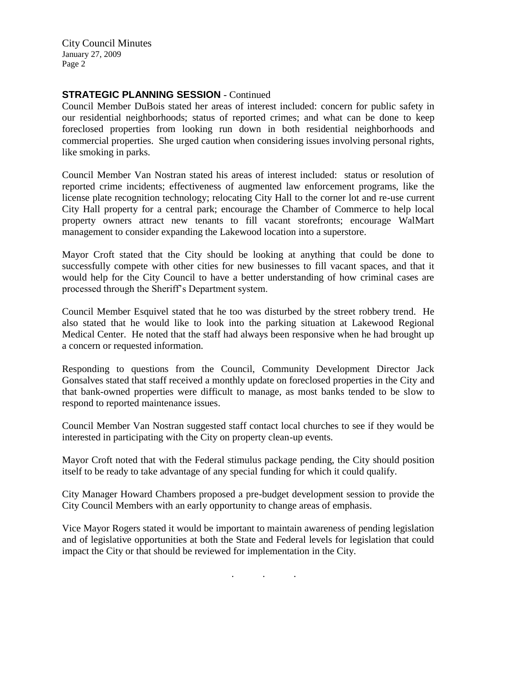City Council Minutes January 27, 2009 Page 2

#### **STRATEGIC PLANNING SESSION** - Continued

Council Member DuBois stated her areas of interest included: concern for public safety in our residential neighborhoods; status of reported crimes; and what can be done to keep foreclosed properties from looking run down in both residential neighborhoods and commercial properties. She urged caution when considering issues involving personal rights, like smoking in parks.

Council Member Van Nostran stated his areas of interest included: status or resolution of reported crime incidents; effectiveness of augmented law enforcement programs, like the license plate recognition technology; relocating City Hall to the corner lot and re-use current City Hall property for a central park; encourage the Chamber of Commerce to help local property owners attract new tenants to fill vacant storefronts; encourage WalMart management to consider expanding the Lakewood location into a superstore.

Mayor Croft stated that the City should be looking at anything that could be done to successfully compete with other cities for new businesses to fill vacant spaces, and that it would help for the City Council to have a better understanding of how criminal cases are processed through the Sheriff's Department system.

Council Member Esquivel stated that he too was disturbed by the street robbery trend. He also stated that he would like to look into the parking situation at Lakewood Regional Medical Center. He noted that the staff had always been responsive when he had brought up a concern or requested information.

Responding to questions from the Council, Community Development Director Jack Gonsalves stated that staff received a monthly update on foreclosed properties in the City and that bank-owned properties were difficult to manage, as most banks tended to be slow to respond to reported maintenance issues.

Council Member Van Nostran suggested staff contact local churches to see if they would be interested in participating with the City on property clean-up events.

Mayor Croft noted that with the Federal stimulus package pending, the City should position itself to be ready to take advantage of any special funding for which it could qualify.

City Manager Howard Chambers proposed a pre-budget development session to provide the City Council Members with an early opportunity to change areas of emphasis.

Vice Mayor Rogers stated it would be important to maintain awareness of pending legislation and of legislative opportunities at both the State and Federal levels for legislation that could impact the City or that should be reviewed for implementation in the City.

. . .